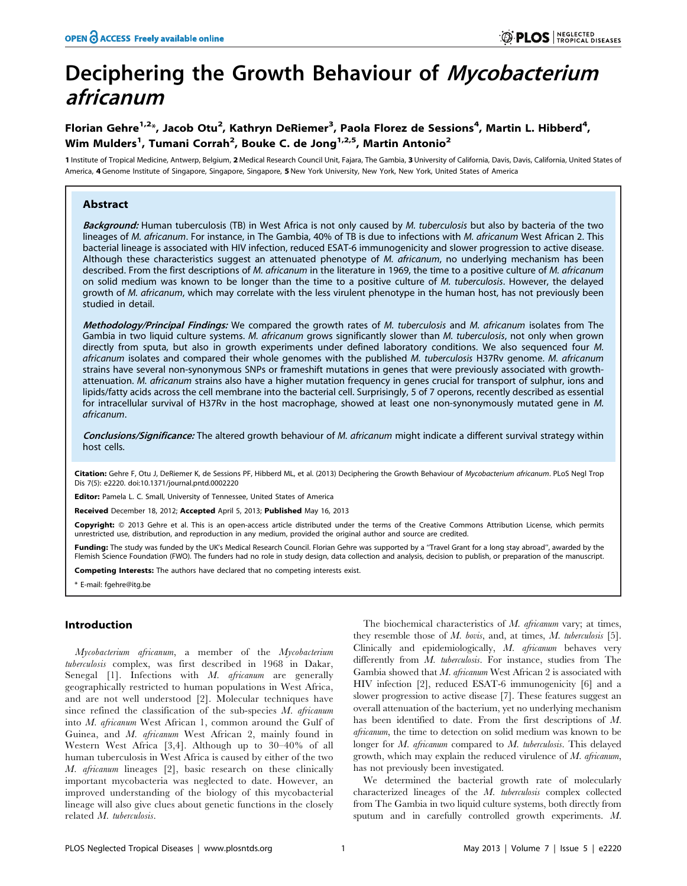# Deciphering the Growth Behaviour of Mycobacterium africanum

## Florian Gehre<sup>1,2</sup>\*, Jacob Otu<sup>2</sup>, Kathryn DeRiemer<sup>3</sup>, Paola Florez de Sessions<sup>4</sup>, Martin L. Hibberd<sup>4</sup>, Wim Mulders $^1$ , Tumani Corrah $^2$ , Bouke C. de Jong $^{1,2,5}$ , Martin Antonio $^2$

1 Institute of Tropical Medicine, Antwerp, Belgium, 2 Medical Research Council Unit, Fajara, The Gambia, 3 University of California, Davis, Davis, California, United States of America, 4 Genome Institute of Singapore, Singapore, Singapore, 5 New York University, New York, New York, United States of America

## Abstract

Background: Human tuberculosis (TB) in West Africa is not only caused by M. tuberculosis but also by bacteria of the two lineages of M. africanum. For instance, in The Gambia, 40% of TB is due to infections with M. africanum West African 2. This bacterial lineage is associated with HIV infection, reduced ESAT-6 immunogenicity and slower progression to active disease. Although these characteristics suggest an attenuated phenotype of M. africanum, no underlying mechanism has been described. From the first descriptions of M. africanum in the literature in 1969, the time to a positive culture of M. africanum on solid medium was known to be longer than the time to a positive culture of M. tuberculosis. However, the delayed growth of M. africanum, which may correlate with the less virulent phenotype in the human host, has not previously been studied in detail.

Methodology/Principal Findings: We compared the growth rates of M. tuberculosis and M. africanum isolates from The Gambia in two liquid culture systems. M. africanum grows significantly slower than M. tuberculosis, not only when grown directly from sputa, but also in growth experiments under defined laboratory conditions. We also sequenced four M. africanum isolates and compared their whole genomes with the published M. tuberculosis H37Rv genome. M. africanum strains have several non-synonymous SNPs or frameshift mutations in genes that were previously associated with growthattenuation. M. africanum strains also have a higher mutation frequency in genes crucial for transport of sulphur, ions and lipids/fatty acids across the cell membrane into the bacterial cell. Surprisingly, 5 of 7 operons, recently described as essential for intracellular survival of H37Rv in the host macrophage, showed at least one non-synonymously mutated gene in M. africanum.

Conclusions/Significance: The altered growth behaviour of M. africanum might indicate a different survival strategy within host cells.

Citation: Gehre F, Otu J, DeRiemer K, de Sessions PF, Hibberd ML, et al. (2013) Deciphering the Growth Behaviour of Mycobacterium africanum. PLoS Negl Trop Dis 7(5): e2220. doi:10.1371/journal.pntd.0002220

Editor: Pamela L. C. Small, University of Tennessee, United States of America

Received December 18, 2012; Accepted April 5, 2013; Published May 16, 2013

Copyright: © 2013 Gehre et al. This is an open-access article distributed under the terms of the Creative Commons Attribution License, which permits unrestricted use, distribution, and reproduction in any medium, provided the original author and source are credited.

Funding: The study was funded by the UK's Medical Research Council. Florian Gehre was supported by a 'Travel Grant for a long stay abroad'', awarded by the Flemish Science Foundation (FWO). The funders had no role in study design, data collection and analysis, decision to publish, or preparation of the manuscript.

Competing Interests: The authors have declared that no competing interests exist.

\* E-mail: fgehre@itg.be

## Introduction

Mycobacterium africanum, a member of the Mycobacterium tuberculosis complex, was first described in 1968 in Dakar, Senegal  $[1]$ . Infections with M. africanum are generally geographically restricted to human populations in West Africa, and are not well understood [2]. Molecular techniques have since refined the classification of the sub-species  $M$ . africanum into M. africanum West African 1, common around the Gulf of Guinea, and M. africanum West African 2, mainly found in Western West Africa [3,4]. Although up to 30–40% of all human tuberculosis in West Africa is caused by either of the two M. africanum lineages [2], basic research on these clinically important mycobacteria was neglected to date. However, an improved understanding of the biology of this mycobacterial lineage will also give clues about genetic functions in the closely related M. tuberculosis.

The biochemical characteristics of  $M$ . africanum vary; at times, they resemble those of M. bovis, and, at times, M. tuberculosis [5]. Clinically and epidemiologically, M. africanum behaves very differently from M. tuberculosis. For instance, studies from The Gambia showed that  $M$ . africanum West African 2 is associated with HIV infection [2], reduced ESAT-6 immunogenicity [6] and a slower progression to active disease [7]. These features suggest an overall attenuation of the bacterium, yet no underlying mechanism has been identified to date. From the first descriptions of M. africanum, the time to detection on solid medium was known to be longer for *M. africanum* compared to *M. tuberculosis*. This delayed growth, which may explain the reduced virulence of M. africanum, has not previously been investigated.

We determined the bacterial growth rate of molecularly characterized lineages of the M. tuberculosis complex collected from The Gambia in two liquid culture systems, both directly from sputum and in carefully controlled growth experiments. M.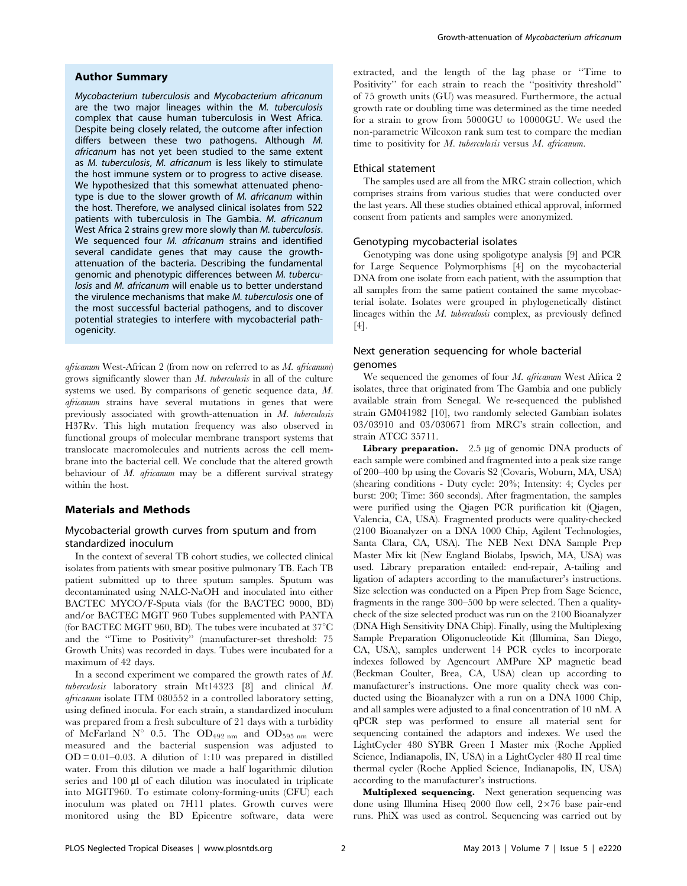#### Author Summary

Mycobacterium tuberculosis and Mycobacterium africanum are the two major lineages within the M. tuberculosis complex that cause human tuberculosis in West Africa. Despite being closely related, the outcome after infection differs between these two pathogens. Although M. africanum has not yet been studied to the same extent as M. tuberculosis, M. africanum is less likely to stimulate the host immune system or to progress to active disease. We hypothesized that this somewhat attenuated phenotype is due to the slower growth of M. africanum within the host. Therefore, we analysed clinical isolates from 522 patients with tuberculosis in The Gambia. M. africanum West Africa 2 strains grew more slowly than M. tuberculosis. We sequenced four *M. africanum* strains and identified several candidate genes that may cause the growthattenuation of the bacteria. Describing the fundamental genomic and phenotypic differences between M. tuberculosis and M. africanum will enable us to better understand the virulence mechanisms that make M. tuberculosis one of the most successful bacterial pathogens, and to discover potential strategies to interfere with mycobacterial pathogenicity.

africanum West-African 2 (from now on referred to as M. africanum) grows significantly slower than M. tuberculosis in all of the culture systems we used. By comparisons of genetic sequence data, M. africanum strains have several mutations in genes that were previously associated with growth-attenuation in  $M$ . tuberculosis H37Rv. This high mutation frequency was also observed in functional groups of molecular membrane transport systems that translocate macromolecules and nutrients across the cell membrane into the bacterial cell. We conclude that the altered growth behaviour of  $M$ . *africanum* may be a different survival strategy within the host.

## Materials and Methods

## Mycobacterial growth curves from sputum and from standardized inoculum

In the context of several TB cohort studies, we collected clinical isolates from patients with smear positive pulmonary TB. Each TB patient submitted up to three sputum samples. Sputum was decontaminated using NALC-NaOH and inoculated into either BACTEC MYCO/F-Sputa vials (for the BACTEC 9000, BD) and/or BACTEC MGIT 960 Tubes supplemented with PANTA (for BACTEC MGIT 960, BD). The tubes were incubated at  $37^{\circ}$ C and the ''Time to Positivity'' (manufacturer-set threshold: 75 Growth Units) was recorded in days. Tubes were incubated for a maximum of 42 days.

In a second experiment we compared the growth rates of M. tuberculosis laboratory strain Mt14323 [8] and clinical M. africanum isolate ITM 080552 in a controlled laboratory setting, using defined inocula. For each strain, a standardized inoculum was prepared from a fresh subculture of 21 days with a turbidity of McFarland N° 0.5. The  $OD_{492 \text{ nm}}$  and  $OD_{595 \text{ nm}}$  were measured and the bacterial suspension was adjusted to  $OD = 0.01 - 0.03$ . A dilution of 1:10 was prepared in distilled water. From this dilution we made a half logarithmic dilution series and 100 µl of each dilution was inoculated in triplicate into MGIT960. To estimate colony-forming-units (CFU) each inoculum was plated on 7H11 plates. Growth curves were monitored using the BD Epicentre software, data were extracted, and the length of the lag phase or ''Time to Positivity'' for each strain to reach the ''positivity threshold'' of 75 growth units (GU) was measured. Furthermore, the actual growth rate or doubling time was determined as the time needed for a strain to grow from 5000GU to 10000GU. We used the non-parametric Wilcoxon rank sum test to compare the median time to positivity for M. tuberculosis versus M. africanum.

#### Ethical statement

The samples used are all from the MRC strain collection, which comprises strains from various studies that were conducted over the last years. All these studies obtained ethical approval, informed consent from patients and samples were anonymized.

#### Genotyping mycobacterial isolates

Genotyping was done using spoligotype analysis [9] and PCR for Large Sequence Polymorphisms [4] on the mycobacterial DNA from one isolate from each patient, with the assumption that all samples from the same patient contained the same mycobacterial isolate. Isolates were grouped in phylogenetically distinct lineages within the M. tuberculosis complex, as previously defined [4].

#### Next generation sequencing for whole bacterial genomes

We sequenced the genomes of four M. africanum West Africa 2 isolates, three that originated from The Gambia and one publicly available strain from Senegal. We re-sequenced the published strain GM041982 [10], two randomly selected Gambian isolates 03/03910 and 03/030671 from MRC's strain collection, and strain ATCC 35711.

Library preparation.  $2.5 \mu g$  of genomic DNA products of each sample were combined and fragmented into a peak size range of 200–400 bp using the Covaris S2 (Covaris, Woburn, MA, USA) (shearing conditions - Duty cycle: 20%; Intensity: 4; Cycles per burst: 200; Time: 360 seconds). After fragmentation, the samples were purified using the Qiagen PCR purification kit (Qiagen, Valencia, CA, USA). Fragmented products were quality-checked (2100 Bioanalyzer on a DNA 1000 Chip, Agilent Technologies, Santa Clara, CA, USA). The NEB Next DNA Sample Prep Master Mix kit (New England Biolabs, Ipswich, MA, USA) was used. Library preparation entailed: end-repair, A-tailing and ligation of adapters according to the manufacturer's instructions. Size selection was conducted on a Pipen Prep from Sage Science, fragments in the range 300–500 bp were selected. Then a qualitycheck of the size selected product was run on the 2100 Bioanalyzer (DNA High Sensitivity DNA Chip). Finally, using the Multiplexing Sample Preparation Oligonucleotide Kit (Illumina, San Diego, CA, USA), samples underwent 14 PCR cycles to incorporate indexes followed by Agencourt AMPure XP magnetic bead (Beckman Coulter, Brea, CA, USA) clean up according to manufacturer's instructions. One more quality check was conducted using the Bioanalyzer with a run on a DNA 1000 Chip, and all samples were adjusted to a final concentration of 10 nM. A qPCR step was performed to ensure all material sent for sequencing contained the adaptors and indexes. We used the LightCycler 480 SYBR Green I Master mix (Roche Applied Science, Indianapolis, IN, USA) in a LightCycler 480 II real time thermal cycler (Roche Applied Science, Indianapolis, IN, USA) according to the manufacturer's instructions.

Multiplexed sequencing. Next generation sequencing was done using Illumina Hiseq 2000 flow cell,  $2\times76$  base pair-end runs. PhiX was used as control. Sequencing was carried out by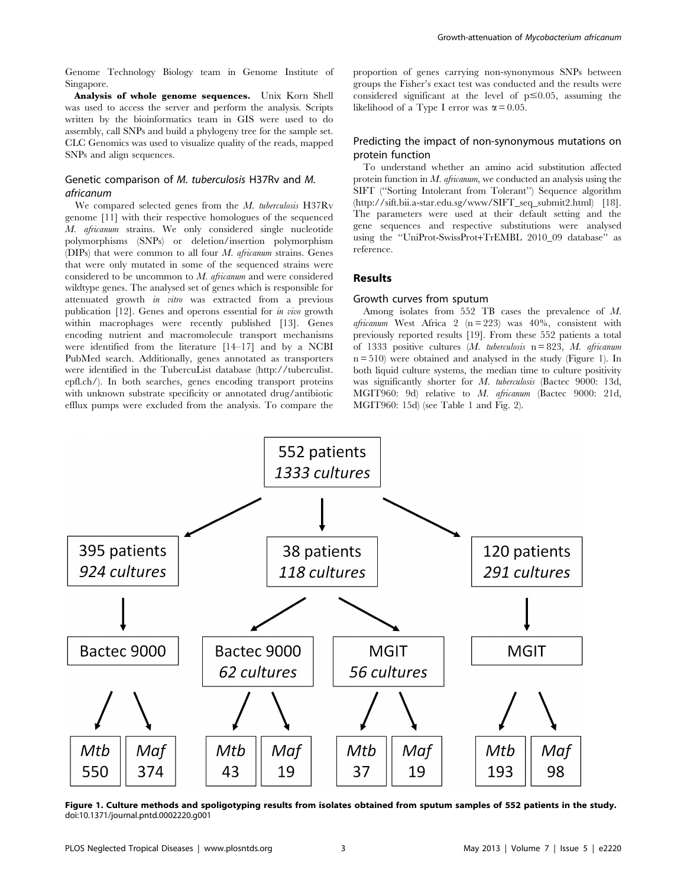Genome Technology Biology team in Genome Institute of Singapore.

Analysis of whole genome sequences. Unix Korn Shell was used to access the server and perform the analysis. Scripts written by the bioinformatics team in GIS were used to do assembly, call SNPs and build a phylogeny tree for the sample set. CLC Genomics was used to visualize quality of the reads, mapped SNPs and align sequences.

## Genetic comparison of M. tuberculosis H37Rv and M. africanum

We compared selected genes from the M. tuberculosis H37Rv genome [11] with their respective homologues of the sequenced M. africanum strains. We only considered single nucleotide polymorphisms (SNPs) or deletion/insertion polymorphism (DIPs) that were common to all four  $M$ . *africanum* strains. Genes that were only mutated in some of the sequenced strains were considered to be uncommon to M. africanum and were considered wildtype genes. The analysed set of genes which is responsible for attenuated growth in vitro was extracted from a previous publication [12]. Genes and operons essential for in vivo growth within macrophages were recently published [13]. Genes encoding nutrient and macromolecule transport mechanisms were identified from the literature [14–17] and by a NCBI PubMed search. Additionally, genes annotated as transporters were identified in the TubercuList database (http://tuberculist. epfl.ch/). In both searches, genes encoding transport proteins with unknown substrate specificity or annotated drug/antibiotic efflux pumps were excluded from the analysis. To compare the proportion of genes carrying non-synonymous SNPs between groups the Fisher's exact test was conducted and the results were considered significant at the level of  $p \le 0.05$ , assuming the likelihood of a Type I error was  $\alpha = 0.05$ .

## Predicting the impact of non-synonymous mutations on protein function

To understand whether an amino acid substitution affected protein function in  $M$ , africanum, we conducted an analysis using the SIFT (''Sorting Intolerant from Tolerant'') Sequence algorithm (http://sift.bii.a-star.edu.sg/www/SIFT\_seq\_submit2.html) [18]. The parameters were used at their default setting and the gene sequences and respective substitutions were analysed using the ''UniProt-SwissProt+TrEMBL 2010\_09 database'' as reference.

#### Results

## Growth curves from sputum

Among isolates from 552 TB cases the prevalence of M. africanum West Africa 2 ( $n = 223$ ) was 40%, consistent with previously reported results [19]. From these 552 patients a total of 1333 positive cultures  $(M.$  tuberculosis  $n = 823$ , M. africanum  $n = 510$ ) were obtained and analysed in the study (Figure 1). In both liquid culture systems, the median time to culture positivity was significantly shorter for M. tuberculosis (Bactec 9000: 13d, MGIT960: 9d) relative to M. africanum (Bactec 9000: 21d, MGIT960: 15d) (see Table 1 and Fig. 2).



Figure 1. Culture methods and spoligotyping results from isolates obtained from sputum samples of 552 patients in the study. doi:10.1371/journal.pntd.0002220.g001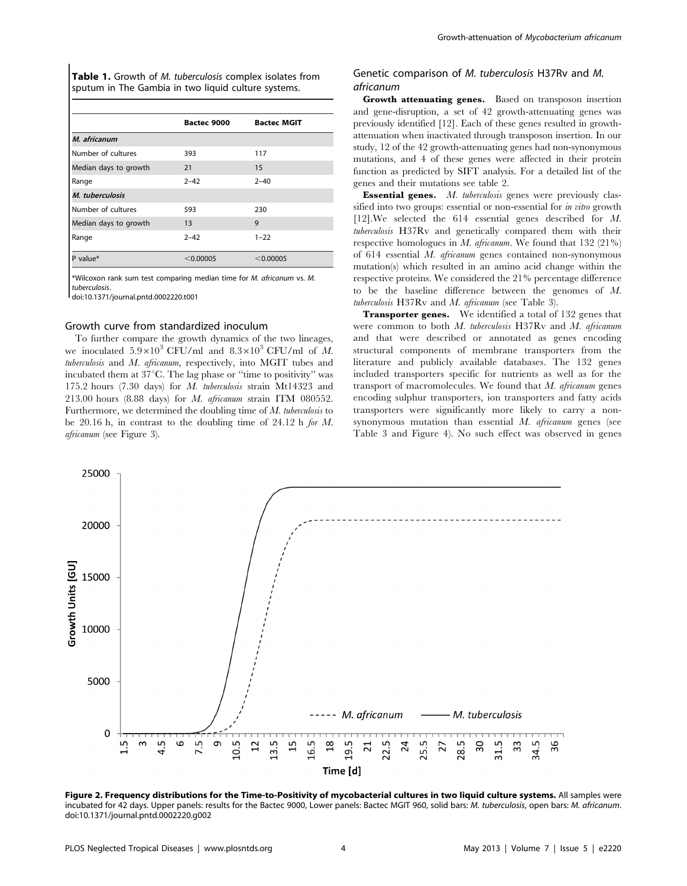Table 1. Growth of M. tuberculosis complex isolates from sputum in The Gambia in two liquid culture systems.

| <b>Bactec MGIT</b><br>Bactec 9000<br>M. africanum<br>Number of cultures<br>393<br>117<br>Median days to growth<br>21<br>15<br>$2 - 42$<br>$2 - 40$<br>Range<br>M. tuberculosis<br>Number of cultures<br>230<br>593<br>Median days to growth<br>9<br>13<br>$2 - 42$<br>$1 - 22$<br>Range<br>P value $*$<br>< 0.00005<br>$<$ 0.00005 |  |  |
|------------------------------------------------------------------------------------------------------------------------------------------------------------------------------------------------------------------------------------------------------------------------------------------------------------------------------------|--|--|
|                                                                                                                                                                                                                                                                                                                                    |  |  |
|                                                                                                                                                                                                                                                                                                                                    |  |  |
|                                                                                                                                                                                                                                                                                                                                    |  |  |
|                                                                                                                                                                                                                                                                                                                                    |  |  |
|                                                                                                                                                                                                                                                                                                                                    |  |  |
|                                                                                                                                                                                                                                                                                                                                    |  |  |
|                                                                                                                                                                                                                                                                                                                                    |  |  |
|                                                                                                                                                                                                                                                                                                                                    |  |  |
|                                                                                                                                                                                                                                                                                                                                    |  |  |
|                                                                                                                                                                                                                                                                                                                                    |  |  |

\*Wilcoxon rank sum test comparing median time for M. africanum vs. M. tuberculosis.

doi:10.1371/journal.pntd.0002220.t001

#### Growth curve from standardized inoculum

To further compare the growth dynamics of the two lineages, we inoculated  $5.9\times10^3$  CFU/ml and  $8.3\times10^3$  CFU/ml of M. tuberculosis and M. africanum, respectively, into MGIT tubes and incubated them at  $37^{\circ}$ C. The lag phase or "time to positivity" was 175.2 hours (7.30 days) for M. tuberculosis strain Mt14323 and 213.00 hours (8.88 days) for M. africanum strain ITM 080552. Furthermore, we determined the doubling time of M. tuberculosis to be 20.16 h, in contrast to the doubling time of 24.12 h for M. africanum (see Figure 3).

## Genetic comparison of M. tuberculosis H37Rv and M. africanum

Growth attenuating genes. Based on transposon insertion and gene-disruption, a set of 42 growth-attenuating genes was previously identified [12]. Each of these genes resulted in growthattenuation when inactivated through transposon insertion. In our study, 12 of the 42 growth-attenuating genes had non-synonymous mutations, and 4 of these genes were affected in their protein function as predicted by SIFT analysis. For a detailed list of the genes and their mutations see table 2.

Essential genes. M. tuberculosis genes were previously classified into two groups: essential or non-essential for *in vitro* growth [12].We selected the 614 essential genes described for M. tuberculosis H37Rv and genetically compared them with their respective homologues in  $M$ . africanum. We found that 132 (21%) of 614 essential M. africanum genes contained non-synonymous mutation(s) which resulted in an amino acid change within the respective proteins. We considered the 21% percentage difference to be the baseline difference between the genomes of M. tuberculosis H37Rv and M. africanum (see Table 3).

Transporter genes. We identified a total of 132 genes that were common to both M. tuberculosis H37Rv and M. africanum and that were described or annotated as genes encoding structural components of membrane transporters from the literature and publicly available databases. The 132 genes included transporters specific for nutrients as well as for the transport of macromolecules. We found that  $M$ . africanum genes encoding sulphur transporters, ion transporters and fatty acids transporters were significantly more likely to carry a nonsynonymous mutation than essential M. africanum genes (see Table 3 and Figure 4). No such effect was observed in genes



Figure 2. Frequency distributions for the Time-to-Positivity of mycobacterial cultures in two liquid culture systems. All samples were incubated for 42 days. Upper panels: results for the Bactec 9000, Lower panels: Bactec MGIT 960, solid bars: M. tuberculosis, open bars: M. africanum. doi:10.1371/journal.pntd.0002220.g002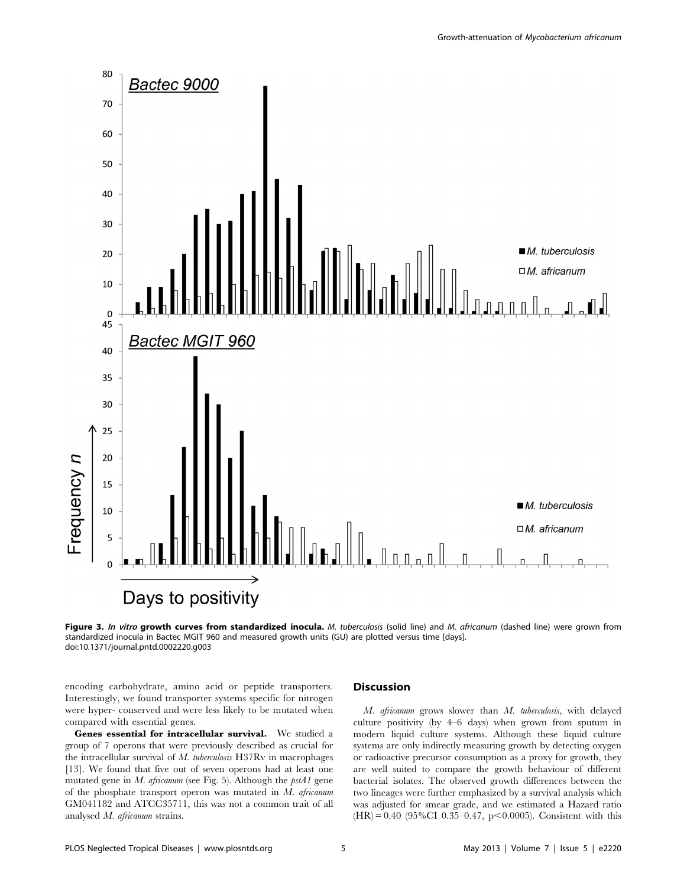

Figure 3. In vitro growth curves from standardized inocula. M. tuberculosis (solid line) and M. africanum (dashed line) were grown from standardized inocula in Bactec MGIT 960 and measured growth units (GU) are plotted versus time [days]. doi:10.1371/journal.pntd.0002220.g003

encoding carbohydrate, amino acid or peptide transporters. Interestingly, we found transporter systems specific for nitrogen were hyper- conserved and were less likely to be mutated when compared with essential genes.

Genes essential for intracellular survival. We studied a group of 7 operons that were previously described as crucial for the intracellular survival of M. tuberculosis H37Rv in macrophages [13]. We found that five out of seven operons had at least one mutated gene in M. africanum (see Fig. 5). Although the pstA1 gene of the phosphate transport operon was mutated in  $M$ . africanum GM041182 and ATCC35711, this was not a common trait of all analysed M. africanum strains.

## **Discussion**

M. africanum grows slower than M. tuberculosis, with delayed culture positivity (by 4–6 days) when grown from sputum in modern liquid culture systems. Although these liquid culture systems are only indirectly measuring growth by detecting oxygen or radioactive precursor consumption as a proxy for growth, they are well suited to compare the growth behaviour of different bacterial isolates. The observed growth differences between the two lineages were further emphasized by a survival analysis which was adjusted for smear grade, and we estimated a Hazard ratio  $(HR) = 0.40$  (95%CI 0.35–0.47, p<0.0005). Consistent with this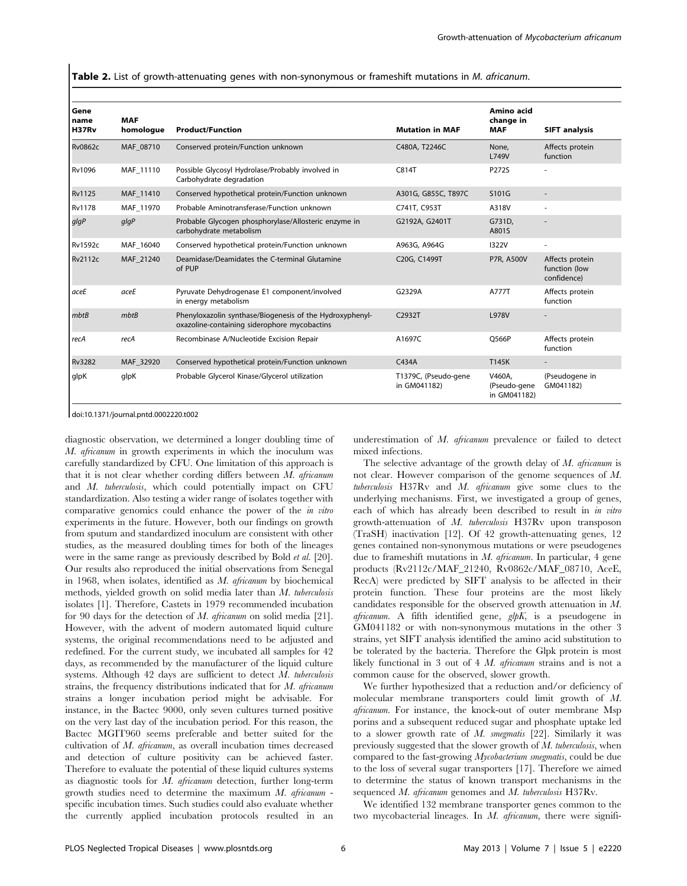Table 2. List of growth-attenuating genes with non-synonymous or frameshift mutations in M. africanum.

| Gene<br>name<br>H37Rv | <b>MAF</b><br>homologue | <b>Product/Function</b>                                                                                  | <b>Mutation in MAF</b>               | Amino acid<br>change in<br><b>MAF</b>  | <b>SIFT analysis</b>                            |
|-----------------------|-------------------------|----------------------------------------------------------------------------------------------------------|--------------------------------------|----------------------------------------|-------------------------------------------------|
| <b>Rv0862c</b>        | MAF 08710               | Conserved protein/Function unknown                                                                       | C480A, T2246C                        | None,<br>L749V                         | Affects protein<br>function                     |
| Rv1096                | MAF 11110               | Possible Glycosyl Hydrolase/Probably involved in<br>Carbohydrate degradation                             | C814T                                | P272S                                  | ٠                                               |
| Rv1125                | MAF 11410               | Conserved hypothetical protein/Function unknown                                                          | A301G, G855C, T897C                  | S101G                                  | $\overline{\phantom{a}}$                        |
| <b>Rv1178</b>         | MAF 11970               | Probable Aminotransferase/Function unknown                                                               | C741T, C953T                         | A318V                                  | ÷,                                              |
| glgP                  | glgP                    | Probable Glycogen phosphorylase/Allosteric enzyme in<br>carbohydrate metabolism                          | G2192A, G2401T                       | G731D.<br>A801S                        |                                                 |
| <b>Rv1592c</b>        | MAF 16040               | Conserved hypothetical protein/Function unknown                                                          | A963G, A964G                         | <b>I322V</b>                           | ÷,                                              |
| <b>Rv2112c</b>        | MAF 21240               | Deamidase/Deamidates the C-terminal Glutamine<br>of PUP                                                  | C20G, C1499T                         | <b>P7R. A500V</b>                      | Affects protein<br>function (low<br>confidence) |
| aceE                  | aceE                    | Pyruvate Dehydrogenase E1 component/involved<br>in energy metabolism                                     | G2329A                               | A777T                                  | Affects protein<br>function                     |
| mbtB                  | mbtB                    | Phenyloxazolin synthase/Biogenesis of the Hydroxyphenyl-<br>oxazoline-containing siderophore mycobactins | C2932T                               | <b>L978V</b>                           |                                                 |
| recA                  | recA                    | Recombinase A/Nucleotide Excision Repair                                                                 | A1697C                               | O566P                                  | Affects protein<br>function                     |
| <b>Rv3282</b>         | MAF 32920               | Conserved hypothetical protein/Function unknown                                                          | C434A                                | T145K                                  | $\qquad \qquad \blacksquare$                    |
| qlpK                  | glpK                    | Probable Glycerol Kinase/Glycerol utilization                                                            | T1379C, (Pseudo-gene<br>in GM041182) | V460A.<br>(Pseudo-gene<br>in GM041182) | (Pseudogene in<br>GM041182)                     |

doi:10.1371/journal.pntd.0002220.t002

diagnostic observation, we determined a longer doubling time of M. africanum in growth experiments in which the inoculum was carefully standardized by CFU. One limitation of this approach is that it is not clear whether cording differs between  $M$ . africanum and M. tuberculosis, which could potentially impact on CFU standardization. Also testing a wider range of isolates together with comparative genomics could enhance the power of the in vitro experiments in the future. However, both our findings on growth from sputum and standardized inoculum are consistent with other studies, as the measured doubling times for both of the lineages were in the same range as previously described by Bold et al. [20]. Our results also reproduced the initial observations from Senegal in 1968, when isolates, identified as M. africanum by biochemical methods, yielded growth on solid media later than M. tuberculosis isolates [1]. Therefore, Castets in 1979 recommended incubation for 90 days for the detection of M. africanum on solid media [21]. However, with the advent of modern automated liquid culture systems, the original recommendations need to be adjusted and redefined. For the current study, we incubated all samples for 42 days, as recommended by the manufacturer of the liquid culture systems. Although 42 days are sufficient to detect M. tuberculosis strains, the frequency distributions indicated that for M. africanum strains a longer incubation period might be advisable. For instance, in the Bactec 9000, only seven cultures turned positive on the very last day of the incubation period. For this reason, the Bactec MGIT960 seems preferable and better suited for the cultivation of M. africanum, as overall incubation times decreased and detection of culture positivity can be achieved faster. Therefore to evaluate the potential of these liquid cultures systems as diagnostic tools for M. africanum detection, further long-term growth studies need to determine the maximum  $M$ . africanum specific incubation times. Such studies could also evaluate whether the currently applied incubation protocols resulted in an underestimation of M. africanum prevalence or failed to detect mixed infections.

The selective advantage of the growth delay of M. africanum is not clear. However comparison of the genome sequences of M. tuberculosis H37Rv and M. africanum give some clues to the underlying mechanisms. First, we investigated a group of genes, each of which has already been described to result in in vitro growth-attenuation of M. tuberculosis H37Rv upon transposon (TraSH) inactivation [12]. Of 42 growth-attenuating genes, 12 genes contained non-synonymous mutations or were pseudogenes due to frameshift mutations in M. africanum. In particular, 4 gene products (Rv2112c/MAF\_21240, Rv0862c/MAF\_08710, AceE, RecA) were predicted by SIFT analysis to be affected in their protein function. These four proteins are the most likely candidates responsible for the observed growth attenuation in M. africanum. A fifth identified gene,  $glpK$ , is a pseudogene in GM041182 or with non-synonymous mutations in the other 3 strains, yet SIFT analysis identified the amino acid substitution to be tolerated by the bacteria. Therefore the Glpk protein is most likely functional in 3 out of 4 M. *africanum* strains and is not a common cause for the observed, slower growth.

We further hypothesized that a reduction and/or deficiency of molecular membrane transporters could limit growth of M. africanum. For instance, the knock-out of outer membrane Msp porins and a subsequent reduced sugar and phosphate uptake led to a slower growth rate of  $M$ . smegmatis [22]. Similarly it was previously suggested that the slower growth of  $M$ . tuberculosis, when compared to the fast-growing Mycobacterium smegmatis, could be due to the loss of several sugar transporters [17]. Therefore we aimed to determine the status of known transport mechanisms in the sequenced M. africanum genomes and M. tuberculosis H37Rv.

We identified 132 membrane transporter genes common to the two mycobacterial lineages. In M. africanum, there were signifi-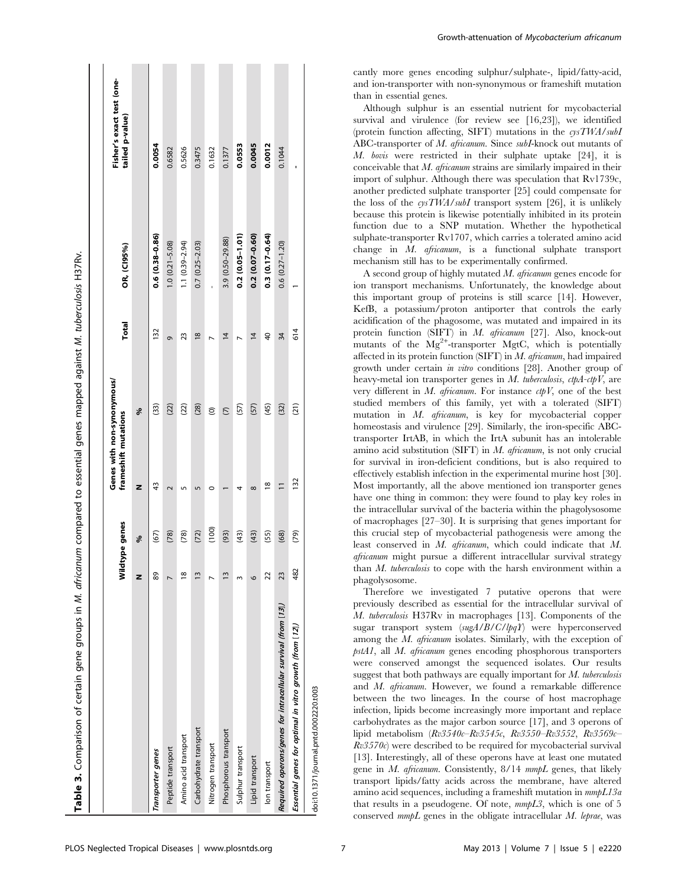| Table 3. Comparison of certain gene groups in <i>M. dificanum</i> compared to essential genes mapped against <i>M. tuberculosis</i> H37Rv. |                 |                |                                                    |                    |               |                       |                                              |
|--------------------------------------------------------------------------------------------------------------------------------------------|-----------------|----------------|----------------------------------------------------|--------------------|---------------|-----------------------|----------------------------------------------|
|                                                                                                                                            |                 |                |                                                    |                    |               |                       |                                              |
|                                                                                                                                            |                 | Wildtype genes | Genes with non-synonymous/<br>frameshift mutations |                    | <b>Total</b>  | OR, (CI95%)           | Fisher's exact test (one-<br>tailed p-value) |
|                                                                                                                                            | z               | ಕ್ಗೆ           | z                                                  | ಕ್ಗೆ               |               |                       |                                              |
| Transporter genes                                                                                                                          | 89              | (67)           | 43                                                 | $\left( 33\right)$ | 132           | $0.6(0.38 - 0.86)$    | 0.0054                                       |
| Peptide transport                                                                                                                          |                 | (78)           |                                                    | (22)               | Ō             | $1.0 (0.21 - 5.08)$   | 0.6582                                       |
| Amino acid transport                                                                                                                       | $\frac{8}{2}$   | (78)           |                                                    | (22)               | 23            | $1.1(0.39 - 2.94)$    | 0.5626                                       |
| Carbohydrate transport                                                                                                                     | $\frac{3}{2}$   | (72)           |                                                    | (28)               | $\frac{8}{2}$ | $0.7(0.25 - 2.03)$    | 0.3475                                       |
| Nitrogen transport                                                                                                                         |                 | (100)          | c                                                  | ම                  |               |                       | 0.1632                                       |
| Phosphorous transport                                                                                                                      | $\tilde{1}$     | (93)           |                                                    | $\overline{C}$     | 4             | 3.9 (0.50-29.88)      | 0.1377                                       |
| Sulphur transport                                                                                                                          |                 | (43)           |                                                    | (57)               |               | $0.2(0.05 - 1.01)$    | 0.0553                                       |
| Lipid transport                                                                                                                            | 6               | (43)           | $\infty$                                           | (57)               | 4             | $0.2(0.07 - 0.60)$    | 0.0045                                       |
| lon transport                                                                                                                              | 22              | (55)           | $\frac{8}{1}$                                      | (45)               | ੩             | $0.3(0.17 - 0.64)$    | 0.0012                                       |
| Required operons/genes for intracellular survival (from [13])                                                                              | $\overline{23}$ | (68)           |                                                    | (32)               | 34            | $0.6$ $(0.27 - 1.20)$ | 0.1044                                       |
| Essential genes for optimal in vitro growth (from [12])                                                                                    | 482             | (62)           | 132                                                | (21)               | 614           |                       |                                              |
| doi:10.1371/journal.pntd.0002220.t003                                                                                                      |                 |                |                                                    |                    |               |                       |                                              |

cantly more genes encoding sulphur/sulphate-, lipid/fatty-acid, and ion-transporter with non-synonymous or frameshift mutation than in essential genes.

Although sulphur is an essential nutrient for mycobacterial survival and virulence (for review see [16,23]), we identified (protein function affecting, SIFT) mutations in the  $\epsilon y s TWA/subI$ ABC-transporter of M. africanum. Since subI-knock out mutants of M. bovis were restricted in their sulphate uptake [24], it is conceivable that  $M$ . *africanum* strains are similarly impaired in their import of sulphur. Although there was speculation that Rv1739c, another predicted sulphate transporter [25] could compensate for the loss of the cysTWA/subI transport system [26], it is unlikely because this protein is likewise potentially inhibited in its protein function due to a SNP mutation. Whether the hypothetical sulphate-transporter Rv1707, which carries a tolerated amino acid change in  $M$ . *africanum*, is a functional sulphate transport mechanism still has to be experimentally confirmed.

A second group of highly mutated M. africanum genes encode for ion transport mechanisms. Unfortunately, the knowledge about this important group of proteins is still scarce [14]. However, KefB, a potassium/proton antiporter that controls the early acidification of the phagosome, was mutated and impaired in its protein function (SIFT) in M. africanum [27]. Also, knock-out mutants of the  $Mg^{2+}$ -transporter MgtC, which is potentially affected in its protein function  $(SIFT)$  in M. africanum, had impaired growth under certain in vitro conditions [28]. Another group of heavy-metal ion transporter genes in  $M$ . tuberculosis, ctpA-ctpV, are very different in  $M$ . africanum. For instance  $ctpV$ , one of the best studied members of this family, yet with a tolerated (SIFT) mutation in M. africanum, is key for mycobacterial copper homeostasis and virulence [29]. Similarly, the iron-specific ABCtransporter IrtAB, in which the IrtA subunit has an intolerable amino acid substitution (SIFT) in  $M$ . africanum, is not only crucial for survival in iron-deficient conditions, but is also required to effectively establish infection in the experimental murine host [30]. Most importantly, all the above mentioned ion transporter genes have one thing in common: they were found to play key roles in the intracellular survival of the bacteria within the phagolysosome of macrophages [27–30]. It is surprising that genes important for this crucial step of mycobacterial pathogenesis were among the least conserved in M. africanum, which could indicate that M. africanum might pursue a different intracellular survival strategy than M. tuberculosis to cope with the harsh environment within a phagolysosome.

Therefore we investigated 7 putative operons that were previously described as essential for the intracellular survival of M. tuberculosis H37Rv in macrophages [13]. Components of the sugar transport system (sugA/B/C/lpqY) were hyperconserved among the M. africanum isolates. Similarly, with the exception of pstA1, all M. africanum genes encoding phosphorous transporters were conserved amongst the sequenced isolates. Our results suggest that both pathways are equally important for  $M$ . tuberculosis and M. africanum. However, we found a remarkable difference between the two lineages. In the course of host macrophage infection, lipids become increasingly more important and replace carbohydrates as the major carbon source [17], and 3 operons of lipid metabolism (Rv3540c–Rv3545c, Rv3550–Rv3552, Rv3569c–  $Rv3570c$ ) were described to be required for mycobacterial survival [13]. Interestingly, all of these operons have at least one mutated gene in  $M$ . africanum. Consistently,  $8/14$  mmpL genes, that likely transport lipids/fatty acids across the membrane, have altered amino acid sequences, including a frameshift mutation in mmpL13a that results in a pseudogene. Of note, mmpL3, which is one of 5 conserved mmpL genes in the obligate intracellular M. leprae, was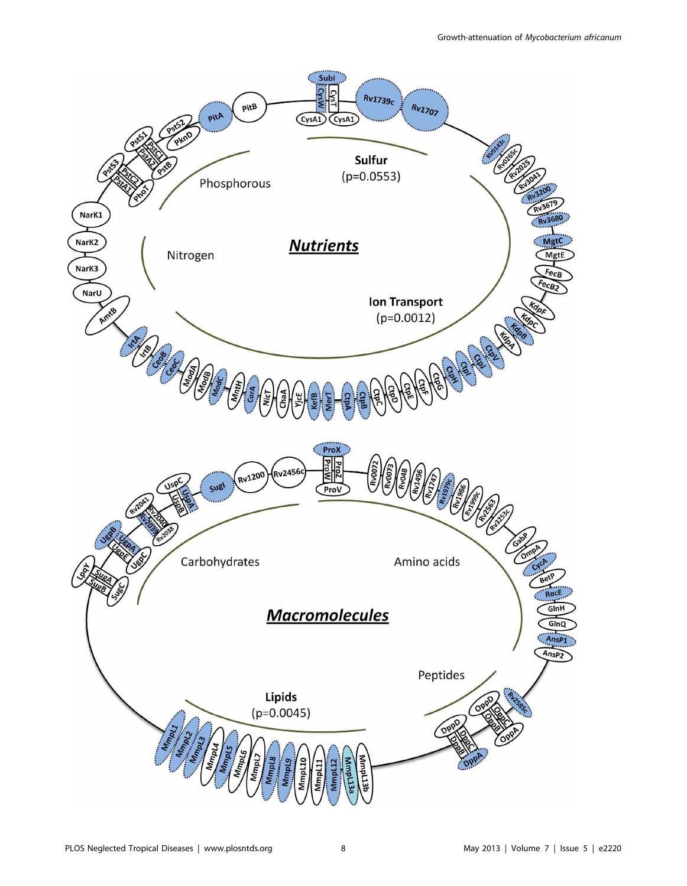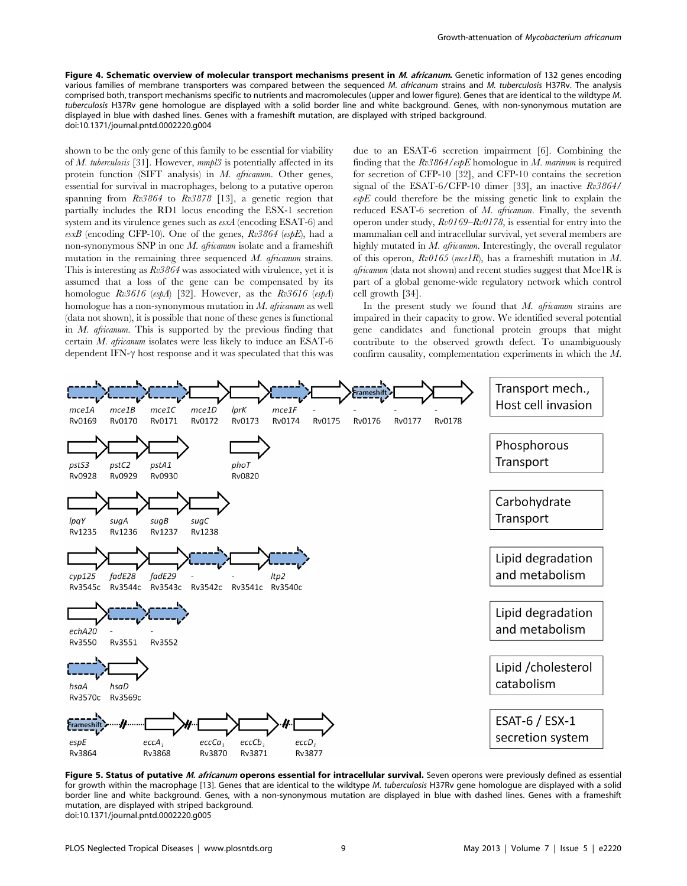Figure 4. Schematic overview of molecular transport mechanisms present in M. africanum. Genetic information of 132 genes encoding various families of membrane transporters was compared between the sequenced M. africanum strains and M. tuberculosis H37Rv. The analysis comprised both, transport mechanisms specific to nutrients and macromolecules (upper and lower figure). Genes that are identical to the wildtype M. tuberculosis H37Rv gene homologue are displayed with a solid border line and white background. Genes, with non-synonymous mutation are displayed in blue with dashed lines. Genes with a frameshift mutation, are displayed with striped background. doi:10.1371/journal.pntd.0002220.g004

shown to be the only gene of this family to be essential for viability of M. tuberculosis [31]. However, mmpl3 is potentially affected in its protein function  $(SIFT$  analysis) in *M. africanum*. Other genes, essential for survival in macrophages, belong to a putative operon spanning from  $Rv3864$  to  $Rv3878$  [13], a genetic region that partially includes the RD1 locus encoding the ESX-1 secretion system and its virulence genes such as esxA (encoding ESAT-6) and  $exB$  (encoding CFP-10). One of the genes,  $Rv3864$  (espE), had a non-synonymous SNP in one  $M$ . africanum isolate and a frameshift mutation in the remaining three sequenced M. africanum strains. This is interesting as Rv3864 was associated with virulence, yet it is assumed that a loss of the gene can be compensated by its homologue  $Rv3616$  (espA) [32]. However, as the  $Rv3616$  (espA) homologue has a non-synonymous mutation in  $M$ . *africanum* as well (data not shown), it is possible that none of these genes is functional in M. africanum. This is supported by the previous finding that certain M. africanum isolates were less likely to induce an ESAT-6 dependent IFN- $\gamma$  host response and it was speculated that this was due to an ESAT-6 secretion impairment [6]. Combining the finding that the  $Rv3864/esbE$  homologue in M. marinum is required for secretion of CFP-10 [32], and CFP-10 contains the secretion signal of the ESAT-6/CFP-10 dimer [33], an inactive  $Rv3864/$  $\epsilon s$ <sub>b</sub> $E$  could therefore be the missing genetic link to explain the reduced ESAT-6 secretion of M. africanum. Finally, the seventh operon under study, Rv0169–Rv0178, is essential for entry into the mammalian cell and intracellular survival, yet several members are highly mutated in  $M$ . africanum. Interestingly, the overall regulator of this operon,  $Rv0165$  (mcelR), has a frameshift mutation in M.  $a$ fricanum (data not shown) and recent studies suggest that Mce1R is part of a global genome-wide regulatory network which control cell growth [34].

In the present study we found that  $M$ . africanum strains are impaired in their capacity to grow. We identified several potential gene candidates and functional protein groups that might contribute to the observed growth defect. To unambiguously confirm causality, complementation experiments in which the M.



Figure 5. Status of putative M. africanum operons essential for intracellular survival. Seven operons were previously defined as essential for growth within the macrophage [13]. Genes that are identical to the wildtype M. tuberculosis H37Rv gene homologue are displayed with a solid border line and white background. Genes, with a non-synonymous mutation are displayed in blue with dashed lines. Genes with a frameshift mutation, are displayed with striped background. doi:10.1371/journal.pntd.0002220.g005